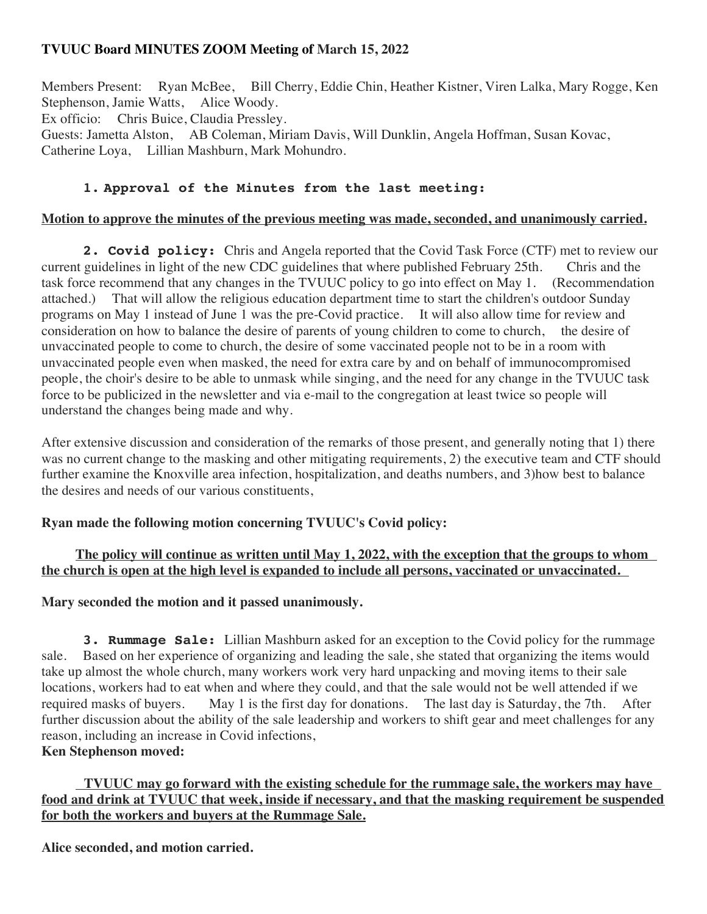# **TVUUC Board MINUTES ZOOM Meeting of March 15, 2022**

Members Present: Ryan McBee, Bill Cherry, Eddie Chin, Heather Kistner, Viren Lalka, Mary Rogge, Ken Stephenson, Jamie Watts, Alice Woody. Ex officio: Chris Buice, Claudia Pressley. Guests: Jametta Alston, AB Coleman, Miriam Davis, Will Dunklin, Angela Hoffman, Susan Kovac,

Catherine Loya, Lillian Mashburn, Mark Mohundro.

# **1. Approval of the Minutes from the last meeting:**

#### **Motion to approve the minutes of the previous meeting was made, seconded, and unanimously carried.**

**2. Covid policy:** Chris and Angela reported that the Covid Task Force (CTF) met to review our current guidelines in light of the new CDC guidelines that where published February 25th. Chris and the task force recommend that any changes in the TVUUC policy to go into effect on May 1. (Recommendation attached.) That will allow the religious education department time to start the children's outdoor Sunday programs on May 1 instead of June 1 was the pre-Covid practice. It will also allow time for review and consideration on how to balance the desire of parents of young children to come to church, the desire of unvaccinated people to come to church, the desire of some vaccinated people not to be in a room with unvaccinated people even when masked, the need for extra care by and on behalf of immunocompromised people, the choir's desire to be able to unmask while singing, and the need for any change in the TVUUC task force to be publicized in the newsletter and via e-mail to the congregation at least twice so people will understand the changes being made and why.

After extensive discussion and consideration of the remarks of those present, and generally noting that 1) there was no current change to the masking and other mitigating requirements, 2) the executive team and CTF should further examine the Knoxville area infection, hospitalization, and deaths numbers, and 3)how best to balance the desires and needs of our various constituents,

## **Ryan made the following motion concerning TVUUC's Covid policy:**

## **The policy will continue as written until May 1, 2022, with the exception that the groups to whom the church is open at the high level is expanded to include all persons, vaccinated or unvaccinated.**

## **Mary seconded the motion and it passed unanimously.**

**3. Rummage Sale:** Lillian Mashburn asked for an exception to the Covid policy for the rummage sale. Based on her experience of organizing and leading the sale, she stated that organizing the items would take up almost the whole church, many workers work very hard unpacking and moving items to their sale locations, workers had to eat when and where they could, and that the sale would not be well attended if we required masks of buyers. May 1 is the first day for donations. The last day is Saturday, the 7th. After further discussion about the ability of the sale leadership and workers to shift gear and meet challenges for any reason, including an increase in Covid infections, **Ken Stephenson moved:**

## **TVUUC may go forward with the existing schedule for the rummage sale, the workers may have food and drink at TVUUC that week, inside if necessary, and that the masking requirement be suspended for both the workers and buyers at the Rummage Sale.**

**Alice seconded, and motion carried.**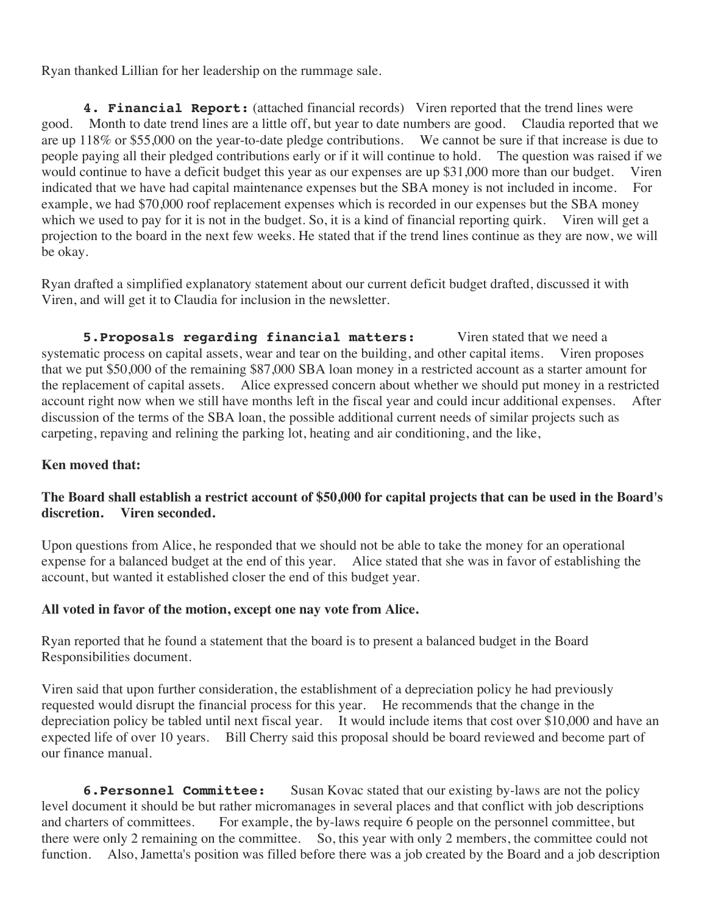Ryan thanked Lillian for her leadership on the rummage sale.

**4. Financial Report:** (attached financial records) Viren reported that the trend lines were good. Month to date trend lines are a little off, but year to date numbers are good. Claudia reported that we are up 118% or \$55,000 on the year-to-date pledge contributions. We cannot be sure if that increase is due to people paying all their pledged contributions early or if it will continue to hold. The question was raised if we would continue to have a deficit budget this year as our expenses are up \$31,000 more than our budget. Viren indicated that we have had capital maintenance expenses but the SBA money is not included in income. For example, we had \$70,000 roof replacement expenses which is recorded in our expenses but the SBA money which we used to pay for it is not in the budget. So, it is a kind of financial reporting quirk. Viren will get a projection to the board in the next few weeks. He stated that if the trend lines continue as they are now, we will be okay.

Ryan drafted a simplified explanatory statement about our current deficit budget drafted, discussed it with Viren, and will get it to Claudia for inclusion in the newsletter.

**5. Proposals regarding financial matters:** Viren stated that we need a systematic process on capital assets, wear and tear on the building, and other capital items. Viren proposes that we put \$50,000 of the remaining \$87,000 SBA loan money in a restricted account as a starter amount for the replacement of capital assets. Alice expressed concern about whether we should put money in a restricted account right now when we still have months left in the fiscal year and could incur additional expenses. After discussion of the terms of the SBA loan, the possible additional current needs of similar projects such as carpeting, repaving and relining the parking lot, heating and air conditioning, and the like,

## **Ken moved that:**

## **The Board shall establish a restrict account of \$50,000 for capital projects that can be used in the Board's discretion. Viren seconded.**

Upon questions from Alice, he responded that we should not be able to take the money for an operational expense for a balanced budget at the end of this year. Alice stated that she was in favor of establishing the account, but wanted it established closer the end of this budget year.

#### **All voted in favor of the motion, except one nay vote from Alice.**

Ryan reported that he found a statement that the board is to present a balanced budget in the Board Responsibilities document.

Viren said that upon further consideration, the establishment of a depreciation policy he had previously requested would disrupt the financial process for this year. He recommends that the change in the depreciation policy be tabled until next fiscal year. It would include items that cost over \$10,000 and have an expected life of over 10 years. Bill Cherry said this proposal should be board reviewed and become part of our finance manual.

**6. Personnel Committee:** Susan Kovac stated that our existing by-laws are not the policy level document it should be but rather micromanages in several places and that conflict with job descriptions and charters of committees. For example, the by-laws require 6 people on the personnel committee, but there were only 2 remaining on the committee. So, this year with only 2 members, the committee could not function. Also, Jametta's position was filled before there was a job created by the Board and a job description